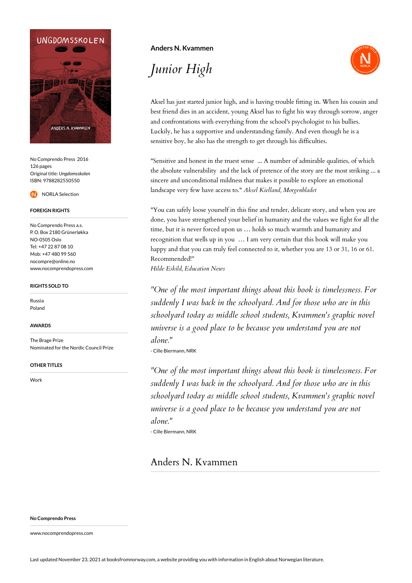

No Comprendo Press 2016 126 pages Original title: *Ungdomsskolen* ISBN: 9788282550550



### **FOREIGN RIGHTS**

No Comprendo Press a.s. P. O. Box 2180 Grünerløkka NO-0505 Oslo Tel: +47 22 87 08 10 Mob: +47 480 99 560 nocompre@online.no www.nocomprendopress.com

#### **RIGHTS SOLD TO**

Russia Poland

#### **AWARDS**

The Brage Prize Nominated for the Nordic Council Prize

#### **OTHER TITLES**

Work

## **Anders N. Kvammen**

*Junior High*



Aksel has just started junior high, and is having trouble fitting in. When his cousin and best friend dies in an accident, young Aksel has to fight his way through sorrow, anger and confrontations with everything from the school's psychologist to his bullies. Luckily, he has a supportive and understanding family. And even though he is a sensitive boy, he also has the strength to get through his difficulties.

"Sensitive and honest in the truest sense ... A number of admirable qualities, of which the absolute vulnerability and the lack of pretence of the story are the most striking ... a sincere and unconditional mildness that makes it possible to explore an emotional landscape very few have access to." *Aksel Kielland, Morgenbladet*

"You can safely loose yourself in this fine and tender, delicate story, and when you are done, you have strengthened your belief in humanity and the values we fight for all the time, but it is never forced upon us … holds so much warmth and humanity and recognition that wells up in you … I am very certain that this book will make you happy and that you can truly feel connected to it, whether you are 13 or 31, 16 or 61. Recommended!"

*Hilde Eskild, Education News*

*"One of the most important things about this book is timelessness. For suddenly I was back in the schoolyard. And for those who are in this schoolyard today as middle school students, Kvammen's graphic novel universe is a good place to be because you understand you are not alone."*

- Cille Biermann, NRK

*"One of the most important things about this book is timelessness. For suddenly I was back in the schoolyard. And for those who are in this schoolyard today as middle school students, Kvammen's graphic novel universe is a good place to be because you understand you are not alone."*

- Cille Biermann, NRK

# Anders N. Kvammen

**No Comprendo Press**

www.nocomprendopress.com